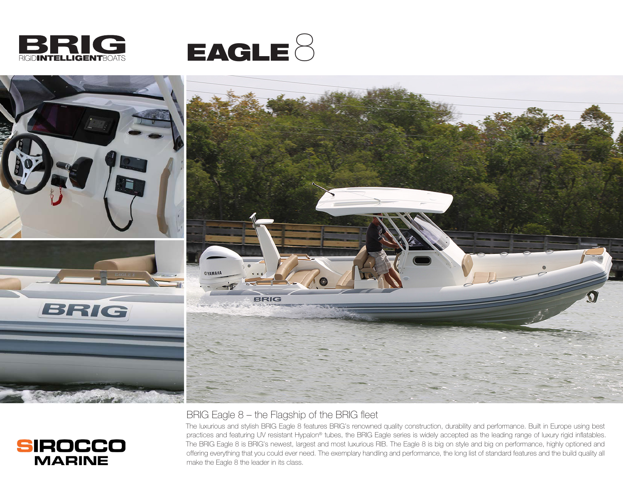

**SIROCCO MARINE** 





## BRIG Eagle 8 – the Flagship of the BRIG fleet

The luxurious and stylish BRIG Eagle 8 features BRIG's renowned quality construction, durability and performance. Built in Europe using best practices and featuring UV resistant Hypalon® tubes, the BRIG Eagle series is widely accepted as the leading range of luxury rigid inflatables. The BRIG Eagle 8 is BRIG's newest, largest and most luxurious RIB. The Eagle 8 is big on style and big on performance, highly optioned and offering everything that you could ever need. The exemplary handling and performance, the long list of standard features and the build quality all make the Eagle 8 the leader in its class.